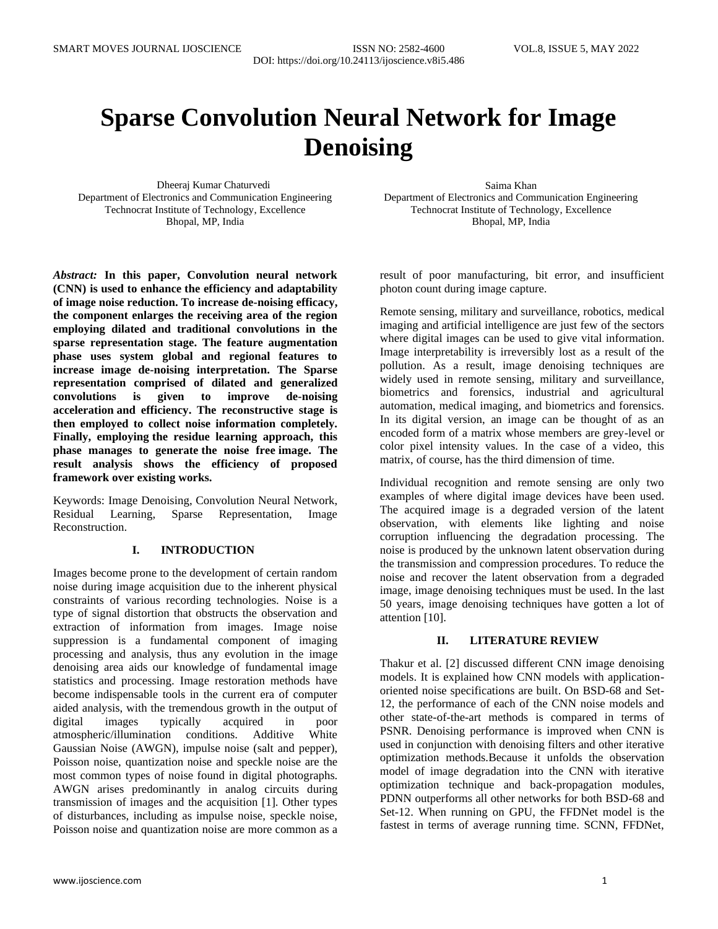# **Sparse Convolution Neural Network for Image Denoising**

Dheeraj Kumar Chaturvedi Saima Khan Saima Khan Saima Khan Saima Khan Saima Khan Saima Khan Saima Khan Saima Khan Saima Khan Saima Khan Saima Khan Saima Khan Saima Khan Saima Khan Saima Khan Saima Khan Saima Khan Saima Khan Department of Electronics and Communication Engineering Department of Electronics and Communication Engineering Technocrat Institute of Technology, Excellence Bhopal, MP, India

*Abstract:* **In this paper, Convolution neural network (CNN) is used to enhance the efficiency and adaptability of image noise reduction. To increase de-noising efficacy, the component enlarges the receiving area of the region employing dilated and traditional convolutions in the sparse representation stage. The feature augmentation phase uses system global and regional features to increase image de-noising interpretation. The Sparse representation comprised of dilated and generalized convolutions is given to improve de-noising acceleration and efficiency. The reconstructive stage is then employed to collect noise information completely. Finally, employing the residue learning approach, this phase manages to generate the noise free image. The result analysis shows the efficiency of proposed framework over existing works.**

Keywords: Image Denoising, Convolution Neural Network, Residual Learning, Sparse Representation, Image Reconstruction.

# **I. INTRODUCTION**

Images become prone to the development of certain random noise during image acquisition due to the inherent physical constraints of various recording technologies. Noise is a type of signal distortion that obstructs the observation and extraction of information from images. Image noise suppression is a fundamental component of imaging processing and analysis, thus any evolution in the image denoising area aids our knowledge of fundamental image statistics and processing. Image restoration methods have become indispensable tools in the current era of computer aided analysis, with the tremendous growth in the output of digital images typically acquired in poor atmospheric/illumination conditions. Additive White Gaussian Noise (AWGN), impulse noise (salt and pepper), Poisson noise, quantization noise and speckle noise are the most common types of noise found in digital photographs. AWGN arises predominantly in analog circuits during transmission of images and the acquisition [1]. Other types of disturbances, including as impulse noise, speckle noise, Poisson noise and quantization noise are more common as a Technocrat Institute of Technology, Excellence Bhopal, MP, India

result of poor manufacturing, bit error, and insufficient photon count during image capture.

Remote sensing, military and surveillance, robotics, medical imaging and artificial intelligence are just few of the sectors where digital images can be used to give vital information. Image interpretability is irreversibly lost as a result of the pollution. As a result, image denoising techniques are widely used in remote sensing, military and surveillance, biometrics and forensics, industrial and agricultural automation, medical imaging, and biometrics and forensics. In its digital version, an image can be thought of as an encoded form of a matrix whose members are grey-level or color pixel intensity values. In the case of a video, this matrix, of course, has the third dimension of time.

Individual recognition and remote sensing are only two examples of where digital image devices have been used. The acquired image is a degraded version of the latent observation, with elements like lighting and noise corruption influencing the degradation processing. The noise is produced by the unknown latent observation during the transmission and compression procedures. To reduce the noise and recover the latent observation from a degraded image, image denoising techniques must be used. In the last 50 years, image denoising techniques have gotten a lot of attention [10].

# **II. LITERATURE REVIEW**

Thakur et al. [2] discussed different CNN image denoising models. It is explained how CNN models with applicationoriented noise specifications are built. On BSD-68 and Set-12, the performance of each of the CNN noise models and other state-of-the-art methods is compared in terms of PSNR. Denoising performance is improved when CNN is used in conjunction with denoising filters and other iterative optimization methods.Because it unfolds the observation model of image degradation into the CNN with iterative optimization technique and back-propagation modules, PDNN outperforms all other networks for both BSD-68 and Set-12. When running on GPU, the FFDNet model is the fastest in terms of average running time. SCNN, FFDNet,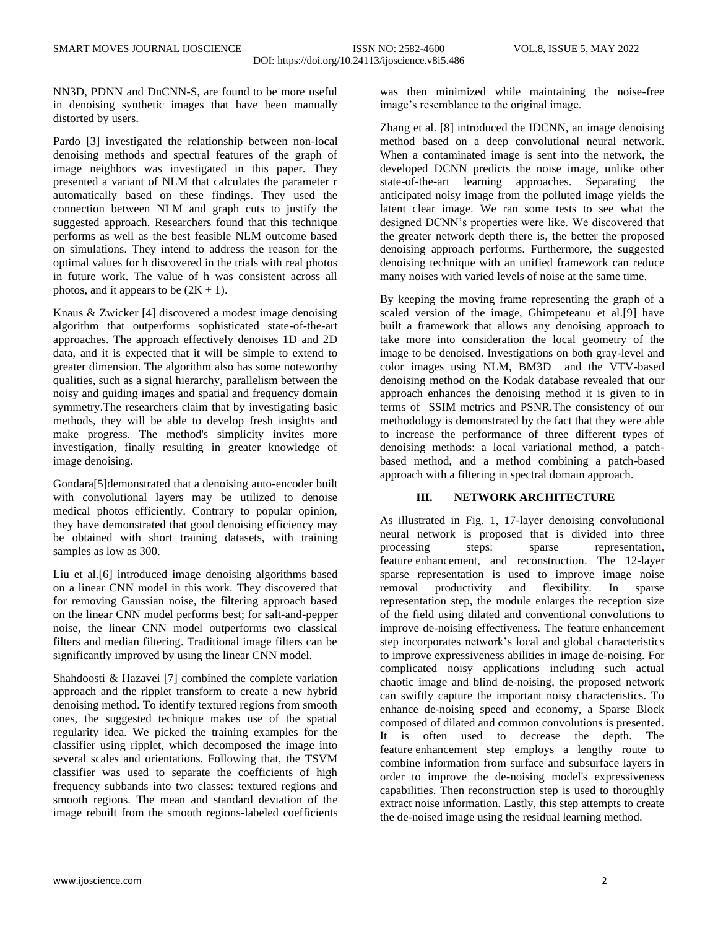NN3D, PDNN and DnCNN-S, are found to be more useful in denoising synthetic images that have been manually distorted by users.

Pardo [3] investigated the relationship between non-local denoising methods and spectral features of the graph of image neighbors was investigated in this paper. They presented a variant of NLM that calculates the parameter r automatically based on these findings. They used the connection between NLM and graph cuts to justify the suggested approach. Researchers found that this technique performs as well as the best feasible NLM outcome based on simulations. They intend to address the reason for the optimal values for h discovered in the trials with real photos in future work. The value of h was consistent across all photos, and it appears to be  $(2K + 1)$ .

Knaus & Zwicker [4] discovered a modest image denoising algorithm that outperforms sophisticated state-of-the-art approaches. The approach effectively denoises 1D and 2D data, and it is expected that it will be simple to extend to greater dimension. The algorithm also has some noteworthy qualities, such as a signal hierarchy, parallelism between the noisy and guiding images and spatial and frequency domain symmetry.The researchers claim that by investigating basic methods, they will be able to develop fresh insights and make progress. The method's simplicity invites more investigation, finally resulting in greater knowledge of image denoising.

Gondara[5]demonstrated that a denoising auto-encoder built with convolutional layers may be utilized to denoise medical photos efficiently. Contrary to popular opinion, they have demonstrated that good denoising efficiency may be obtained with short training datasets, with training samples as low as 300.

Liu et al.[6] introduced image denoising algorithms based on a linear CNN model in this work. They discovered that for removing Gaussian noise, the filtering approach based on the linear CNN model performs best; for salt-and-pepper noise, the linear CNN model outperforms two classical filters and median filtering. Traditional image filters can be significantly improved by using the linear CNN model.

Shahdoosti & Hazavei [7] combined the complete variation approach and the ripplet transform to create a new hybrid denoising method. To identify textured regions from smooth ones, the suggested technique makes use of the spatial regularity idea. We picked the training examples for the classifier using ripplet, which decomposed the image into several scales and orientations. Following that, the TSVM classifier was used to separate the coefficients of high frequency subbands into two classes: textured regions and smooth regions. The mean and standard deviation of the image rebuilt from the smooth regions-labeled coefficients was then minimized while maintaining the noise-free image's resemblance to the original image.

Zhang et al. [8] introduced the IDCNN, an image denoising method based on a deep convolutional neural network. When a contaminated image is sent into the network, the developed DCNN predicts the noise image, unlike other state-of-the-art learning approaches. Separating the anticipated noisy image from the polluted image yields the latent clear image. We ran some tests to see what the designed DCNN's properties were like. We discovered that the greater network depth there is, the better the proposed denoising approach performs. Furthermore, the suggested denoising technique with an unified framework can reduce many noises with varied levels of noise at the same time.

By keeping the moving frame representing the graph of a scaled version of the image, Ghimpeteanu et al.[9] have built a framework that allows any denoising approach to take more into consideration the local geometry of the image to be denoised. Investigations on both gray-level and color images using NLM, BM3D and the VTV-based denoising method on the Kodak database revealed that our approach enhances the denoising method it is given to in terms of SSIM metrics and PSNR.The consistency of our methodology is demonstrated by the fact that they were able to increase the performance of three different types of denoising methods: a local variational method, a patchbased method, and a method combining a patch-based approach with a filtering in spectral domain approach.

# **III. NETWORK ARCHITECTURE**

As illustrated in Fig. 1, 17-layer denoising convolutional neural network is proposed that is divided into three processing steps: sparse representation, feature enhancement, and reconstruction. The 12-layer sparse representation is used to improve image noise removal productivity and flexibility. In sparse representation step, the module enlarges the reception size of the field using dilated and conventional convolutions to improve de-noising effectiveness. The feature enhancement step incorporates network's local and global characteristics to improve expressiveness abilities in image de-noising. For complicated noisy applications including such actual chaotic image and blind de-noising, the proposed network can swiftly capture the important noisy characteristics. To enhance de-noising speed and economy, a Sparse Block composed of dilated and common convolutions is presented. It is often used to decrease the depth. The feature enhancement step employs a lengthy route to combine information from surface and subsurface layers in order to improve the de-noising model's expressiveness capabilities. Then reconstruction step is used to thoroughly extract noise information. Lastly, this step attempts to create the de-noised image using the residual learning method.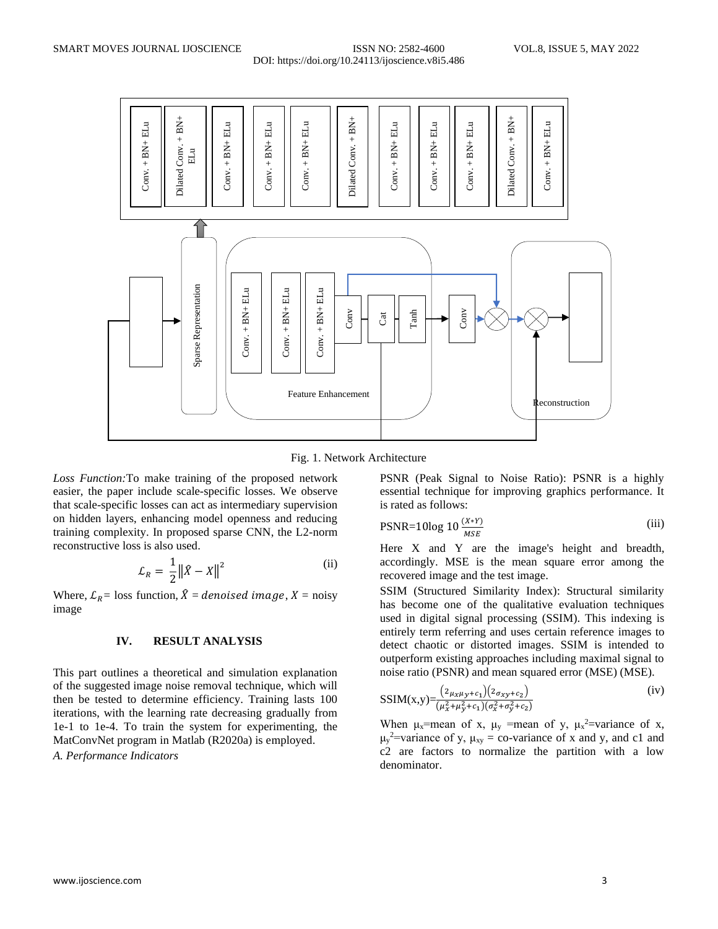

Fig. 1. Network Architecture

*Loss Function:*To make training of the proposed network easier, the paper include scale-specific losses. We observe that scale-specific losses can act as intermediary supervision on hidden layers, enhancing model openness and reducing training complexity. In proposed sparse CNN, the L2-norm reconstructive loss is also used.

$$
\mathcal{L}_R = \frac{1}{2} \| \hat{X} - X \|^2 \tag{ii}
$$

Where,  $\mathcal{L}_R$  = loss function,  $\hat{X}$  = *denoised image*,  $X$  = noisy image

# **IV. RESULT ANALYSIS**

This part outlines a theoretical and simulation explanation of the suggested image noise removal technique, which will then be tested to determine efficiency. Training lasts 100 iterations, with the learning rate decreasing gradually from 1e-1 to 1e-4. To train the system for experimenting, the MatConvNet program in Matlab (R2020a) is employed.

*A. Performance Indicators*

PSNR (Peak Signal to Noise Ratio): PSNR is a highly essential technique for improving graphics performance. It is rated as follows:

$$
PSNR = 10\log 10 \frac{(X*Y)}{MSE}
$$
 (iii)

Here X and Y are the image's height and breadth, accordingly. MSE is the mean square error among the recovered image and the test image.

SSIM (Structured Similarity Index): Structural similarity has become one of the qualitative evaluation techniques used in digital signal processing (SSIM). This indexing is entirely term referring and uses certain reference images to detect chaotic or distorted images. SSIM is intended to outperform existing approaches including maximal signal to noise ratio (PSNR) and mean squared error (MSE) (MSE).

$$
SSIM(x,y) = \frac{(2\mu_X \mu_Y + c_1)(2\sigma_{XY} + c_2)}{(\mu_X^2 + \mu_Y^2 + c_1)(\sigma_X^2 + \sigma_Y^2 + c_2)}
$$
 (iv)

When  $\mu_x$ =mean of x,  $\mu_y$  =mean of y,  $\mu_x^2$ =variance of x,  $\mu_y^2$ =variance of y,  $\mu_{xy}$  = co-variance of x and y, and c1 and  $c<sup>2</sup>$  are factors to normalize the partition with a low denominator.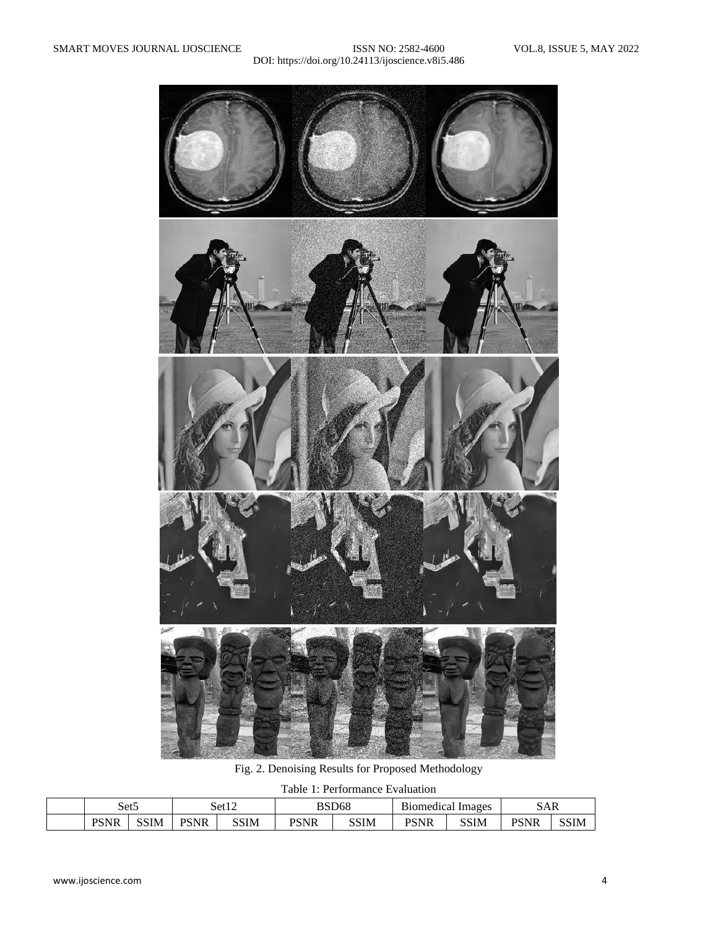

Fig. 2. Denoising Results for Proposed Methodology

Table 1: Performance Evaluation

| Set <sub>5</sub>          |      | $\sim$ 1. $\sim$<br>Set12 |      | BSD68              |      | $\sim$<br>Images<br>B10med1cal |      | ЭAК         |             |
|---------------------------|------|---------------------------|------|--------------------|------|--------------------------------|------|-------------|-------------|
| <b>DCMD</b><br>'чr<br>נטי | SSIM | <b>PSNR</b>               | SSIM | DCNID<br>'чк<br>D. | SSIM | <b>PCNR</b><br>AFIG'           | SSIM | <b>PSNR</b> | <b>SSIM</b> |